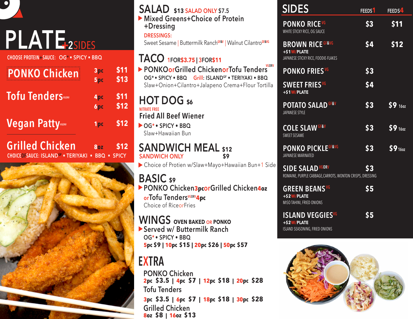|  | <b>ATE</b>                                               |
|--|----------------------------------------------------------|
|  | $C \cup C \cap C$ DOATFIN CALLED $C \cap C$ . CDLCV . DE |

IO)

**CHOOSE PROTEIN+SAUCE: OG\* • SPICY • BBQ**

| <b>PONKO Chicken</b>                                                           | 3pc<br>5 <sub>pc</sub>        | \$11<br>\$13    |
|--------------------------------------------------------------------------------|-------------------------------|-----------------|
| <b>Tofu TenderS</b> v60RV                                                      | 4 <sub>pc</sub><br><b>6pc</b> | \$11<br>\$12    |
| <b>Vegan Patty</b>                                                             | 1pc                           | \$12            |
| <b>Grilled Chicken</b><br><b>CHOICEOFSAUCE: ISLAND<sup>GF</sup> . TERIYAKI</b> | <b>80Z</b><br><b>BBQ</b>      | \$12<br>• SPICY |



| <b>SALAD</b> \$13 SALAD ONLY \$7.5                                                                                       | <b>SIDES</b>                                                                         | FEEDS <sup>1</sup> | FEEDS4    |
|--------------------------------------------------------------------------------------------------------------------------|--------------------------------------------------------------------------------------|--------------------|-----------|
| Mixed Greens+Choice of Protein<br>+Dressing<br><b>DRESSINGS:</b>                                                         | <b>PONKO RICEVG</b><br>WHITE STICKY RICE, OG SAUCE                                   | \$3                | \$11      |
| Sweet Sesame   Buttermilk Ranch <sup>GF&amp;V</sup>   Walnut Cilantro <sup>GF&amp;VG</sup>                               | <b>BROWN RICE GF&amp;VG</b><br>+\$1W/PLATE                                           | \$4                | \$12      |
| TACO 1FOR\$3.75   3FOR\$11                                                                                               | JAPANESE STICKY RICE, FOODIE-FLAKES                                                  |                    |           |
| <b>VGORV</b><br>▶ PONKOorGrilled ChickenorTofu Tenders<br>OG* · SPICY · BBQ Grill: ISLAND <sup>GF</sup> · TERIYAKI · BBQ | <b>PONKO FRIESVG</b>                                                                 | \$3                |           |
| Slaw+Onion+Cilantro+Jalapeno Crema+Flour Tortilla                                                                        | <b>SWEET FRIESVG</b><br>+\$1W/PLATE                                                  | \$4                |           |
| <b>HOT DOG \$6</b><br><b>NITRATE FREE</b>                                                                                | <b>POTATO SALAD GF&amp;V</b>                                                         | \$3                | 59160     |
| <b>Fried All Beef Wiener</b>                                                                                             | JAPANESE STYLE                                                                       |                    |           |
| OG* · SPICY · BBQ<br>Slaw+Hawaiian Bun                                                                                   | <b>COLE SLAW GF&amp;V</b><br><b>SWEET SESAME</b>                                     | \$3                | $$9\,160$ |
| <b>SANDWICH MEAL \$12</b><br><b>SANDWICH ONLY</b><br>\$9                                                                 | <b>PONKO PICKLEGF&amp;VG</b><br>JAPANESE MARINATED                                   | \$3                | 59160     |
| Choice of Protien w/Slaw+Mayo+Hawaiian Bun+1 Side<br><b>BASIC</b> s9                                                     | <b>SIDE SALAD VGORV</b><br>ROMAINE, PURPLE CABBAGE, CARROTS, WONTON CRISPS, DRESSING | \$3                |           |
| PONKO Chicken3pcorGrilled Chicken4oz<br>orTofu TendersVGORV4pc<br>Choice of RiceorFries                                  | <b>GREEN BEANS VG</b><br>+\$2W/PLATE<br>MISO TAHINI, FRIED ONIONS                    | \$5                |           |
| <b>WINGS OVEN BAKED OR PONKO</b><br>Served w/ Buttermilk Ranch<br>OG* · SPICY · BBQ                                      | <b>ISLAND VEGGIESVG</b><br>+\$2W/PLATE<br>ISLAND SEASONING, FRIED ONIONS             | \$5                |           |
| 5pc \$9   10pc \$15   20pc \$26   50pc \$57                                                                              |                                                                                      |                    |           |
| <b>EXTRA</b><br><b>PONKO Chicken</b><br>2pc \$3.5   4pc \$7   12pc \$18   20pc \$28<br><b>Tofu Tenders</b>               |                                                                                      |                    |           |

 $$9$  160z

 $59 160z$ 

 $$9_{160z}$$ 

**3pc \$3.5 | 6pc \$7 | 18pc \$18 | 30pc \$28**

**Grilled Chicken 8oz \$8 | 16oz \$13**